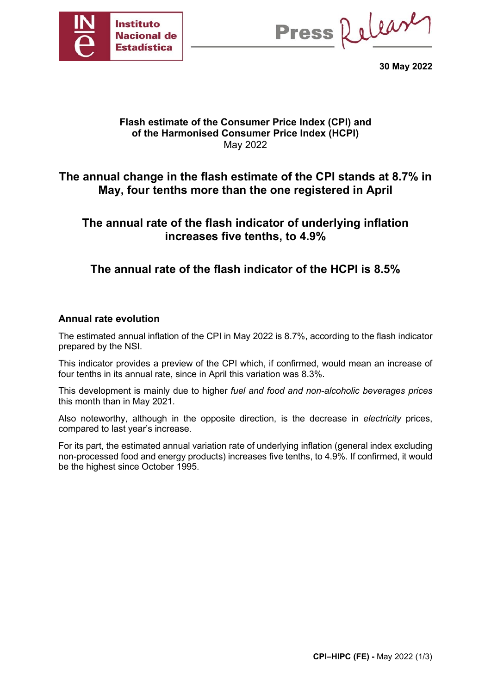

Press Release

**30 May 2022**

### **Flash estimate of the Consumer Price Index (CPI) and of the Harmonised Consumer Price Index (HCPI)** May 2022

# **The annual change in the flash estimate of the CPI stands at 8.7% in May, four tenths more than the one registered in April**

# **The annual rate of the flash indicator of underlying inflation increases five tenths, to 4.9%**

# **The annual rate of the flash indicator of the HCPI is 8.5%**

### **Annual rate evolution**

The estimated annual inflation of the CPI in May 2022 is 8.7%, according to the flash indicator prepared by the NSI.

This indicator provides a preview of the CPI which, if confirmed, would mean an increase of four tenths in its annual rate, since in April this variation was 8.3%.

This development is mainly due to higher *fuel and food and non-alcoholic beverages prices* this month than in May 2021.

Also noteworthy, although in the opposite direction, is the decrease in *electricity* prices, compared to last year's increase.

For its part, the estimated annual variation rate of underlying inflation (general index excluding non-processed food and energy products) increases five tenths, to 4.9%. If confirmed, it would be the highest since October 1995.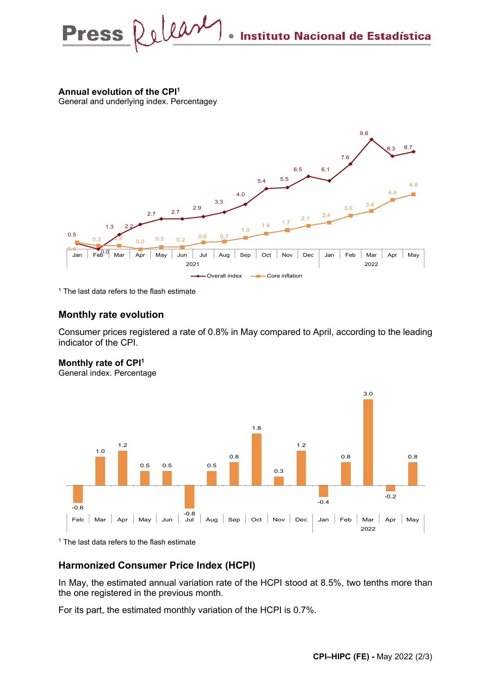Press Relear Instituto Nacional de Estadística

### **Annual evolution of the CPI1**

General and underlying index. Percentagey



 $1$  The last data refers to the flash estimate

#### **Monthly rate evolution**

Consumer prices registered a rate of 0.8% in May compared to April, according to the leading indicator of the CPI.

### **Monthly rate of CPI1**

General index. Percentage



<sup>1</sup> The last data refers to the flash estimate

#### **Harmonized Consumer Price Index (HCPI)**

In May, the estimated annual variation rate of the HCPI stood at 8.5%, two tenths more than the one registered in the previous month.

For its part, the estimated monthly variation of the HCPI is 0.7%.